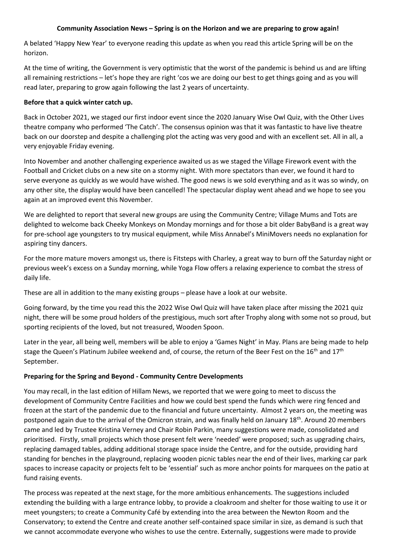## **Community Association News – Spring is on the Horizon and we are preparing to grow again!**

A belated 'Happy New Year' to everyone reading this update as when you read this article Spring will be on the horizon.

At the time of writing, the Government is very optimistic that the worst of the pandemic is behind us and are lifting all remaining restrictions – let's hope they are right 'cos we are doing our best to get things going and as you will read later, preparing to grow again following the last 2 years of uncertainty.

## **Before that a quick winter catch up.**

Back in October 2021, we staged our first indoor event since the 2020 January Wise Owl Quiz, with the Other Lives theatre company who performed 'The Catch'. The consensus opinion was that it was fantastic to have live theatre back on our doorstep and despite a challenging plot the acting was very good and with an excellent set. All in all, a very enjoyable Friday evening.

Into November and another challenging experience awaited us as we staged the Village Firework event with the Football and Cricket clubs on a new site on a stormy night. With more spectators than ever, we found it hard to serve everyone as quickly as we would have wished. The good news is we sold everything and as it was so windy, on any other site, the display would have been cancelled! The spectacular display went ahead and we hope to see you again at an improved event this November.

We are delighted to report that several new groups are using the Community Centre; Village Mums and Tots are delighted to welcome back Cheeky Monkeys on Monday mornings and for those a bit older BabyBand is a great way for pre-school age youngsters to try musical equipment, while Miss Annabel's MiniMovers needs no explanation for aspiring tiny dancers.

For the more mature movers amongst us, there is Fitsteps with Charley, a great way to burn off the Saturday night or previous week's excess on a Sunday morning, while Yoga Flow offers a relaxing experience to combat the stress of daily life.

These are all in addition to the many existing groups – please have a look at our website.

Going forward, by the time you read this the 2022 Wise Owl Quiz will have taken place after missing the 2021 quiz night, there will be some proud holders of the prestigious, much sort after Trophy along with some not so proud, but sporting recipients of the loved, but not treasured, Wooden Spoon.

Later in the year, all being well, members will be able to enjoy a 'Games Night' in May. Plans are being made to help stage the Queen's Platinum Jubilee weekend and, of course, the return of the Beer Fest on the 16<sup>th</sup> and 17<sup>th</sup> September.

## **Preparing for the Spring and Beyond - Community Centre Developments**

You may recall, in the last edition of Hillam News, we reported that we were going to meet to discuss the development of Community Centre Facilities and how we could best spend the funds which were ring fenced and frozen at the start of the pandemic due to the financial and future uncertainty. Almost 2 years on, the meeting was postponed again due to the arrival of the Omicron strain, and was finally held on January 18<sup>th</sup>. Around 20 members came and led by Trustee Kristina Verney and Chair Robin Parkin, many suggestions were made, consolidated and prioritised. Firstly, small projects which those present felt were 'needed' were proposed; such as upgrading chairs, replacing damaged tables, adding additional storage space inside the Centre, and for the outside, providing hard standing for benches in the playground, replacing wooden picnic tables near the end of their lives, marking car park spaces to increase capacity or projects felt to be 'essential' such as more anchor points for marquees on the patio at fund raising events.

The process was repeated at the next stage, for the more ambitious enhancements. The suggestions included extending the building with a large entrance lobby, to provide a cloakroom and shelter for those waiting to use it or meet youngsters; to create a Community Café by extending into the area between the Newton Room and the Conservatory; to extend the Centre and create another self-contained space similar in size, as demand is such that we cannot accommodate everyone who wishes to use the centre. Externally, suggestions were made to provide